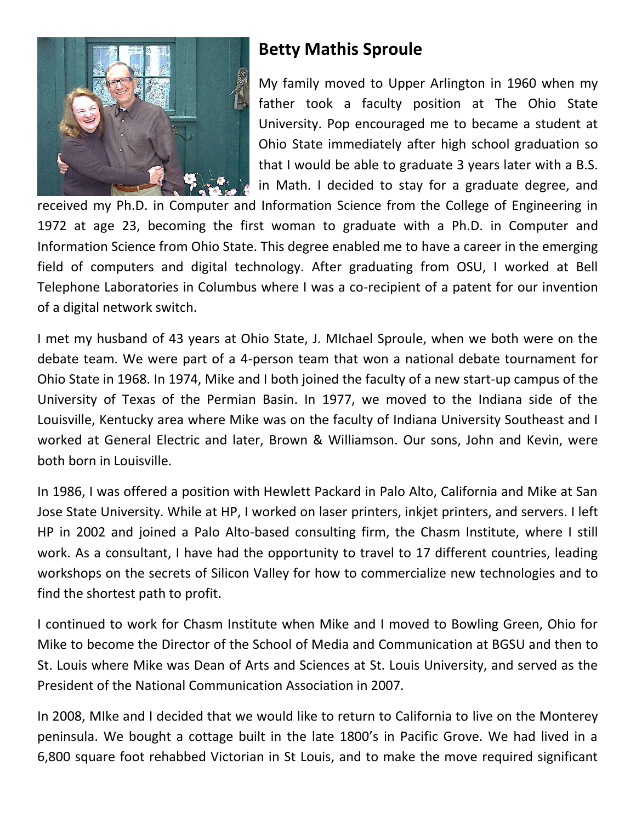

## **Betty Mathis Sproule**

My family moved to Upper Arlington in 1960 when my father took a faculty position at The Ohio State University. Pop encouraged me to became a student at Ohio State immediately after high school graduation so that I would be able to graduate 3 years later with a B.S. in Math. I decided to stay for a graduate degree, and

received my Ph.D. in Computer and Information Science from the College of Engineering in 1972 at age 23, becoming the first woman to graduate with a Ph.D. in Computer and Information Science from Ohio State. This degree enabled me to have a career in the emerging field of computers and digital technology. After graduating from OSU, I worked at Bell Telephone Laboratories in Columbus where I was a co-recipient of a patent for our invention of a digital network switch.

I met my husband of 43 years at Ohio State, J. MIchael Sproule, when we both were on the debate team. We were part of a 4-person team that won a national debate tournament for Ohio State in 1968. In 1974, Mike and I both joined the faculty of a new start-up campus of the University of Texas of the Permian Basin. In 1977, we moved to the Indiana side of the Louisville, Kentucky area where Mike was on the faculty of Indiana University Southeast and I worked at General Electric and later, Brown & Williamson. Our sons, John and Kevin, were both born in Louisville.

In 1986, I was offered a position with Hewlett Packard in Palo Alto, California and Mike at San Jose State University. While at HP, I worked on laser printers, inkjet printers, and servers. I left HP in 2002 and joined a Palo Alto-based consulting firm, the Chasm Institute, where I still work. As a consultant, I have had the opportunity to travel to 17 different countries, leading workshops on the secrets of Silicon Valley for how to commercialize new technologies and to find the shortest path to profit.

I continued to work for Chasm Institute when Mike and I moved to Bowling Green, Ohio for Mike to become the Director of the School of Media and Communication at BGSU and then to St. Louis where Mike was Dean of Arts and Sciences at St. Louis University, and served as the President of the National Communication Association in 2007.

In 2008, MIke and I decided that we would like to return to California to live on the Monterey peninsula. We bought a cottage built in the late 1800's in Pacific Grove. We had lived in a 6,800 square foot rehabbed Victorian in St Louis, and to make the move required significant